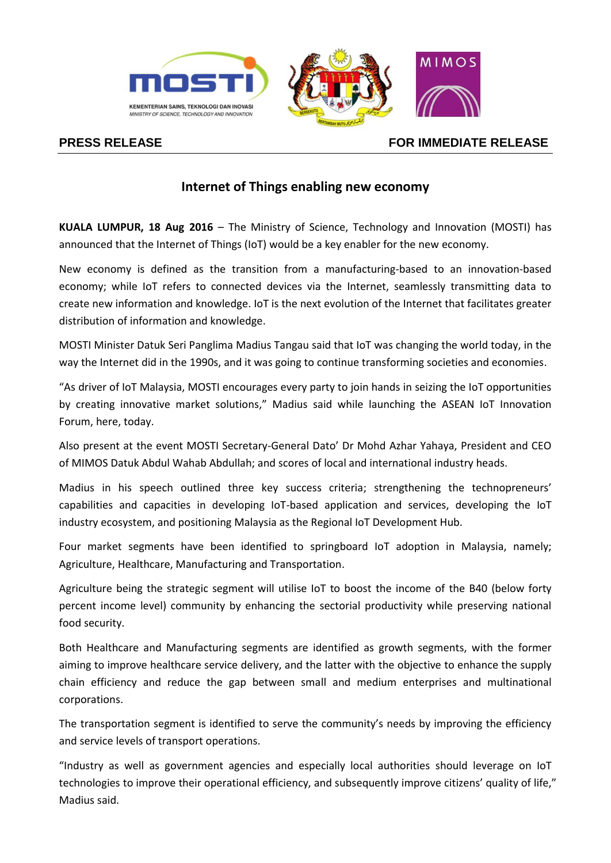





## **PRESS RELEASE FOR IMMEDIATE RELEASE**

## **Internet of Things enabling new economy**

**KUALA LUMPUR, 18 Aug 2016** – The Ministry of Science, Technology and Innovation (MOSTI) has announced that the Internet of Things (IoT) would be a key enabler for the new economy.

New economy is defined as the transition from a manufacturing-based to an innovation-based economy; while IoT refers to connected devices via the Internet, seamlessly transmitting data to create new information and knowledge. IoT is the next evolution of the Internet that facilitates greater distribution of information and knowledge.

MOSTI Minister Datuk Seri Panglima Madius Tangau said that IoT was changing the world today, in the way the Internet did in the 1990s, and it was going to continue transforming societies and economies.

"As driver of IoT Malaysia, MOSTI encourages every party to join hands in seizing the IoT opportunities by creating innovative market solutions," Madius said while launching the ASEAN IoT Innovation Forum, here, today.

Also present at the event MOSTI Secretary-General Dato' Dr Mohd Azhar Yahaya, President and CEO of MIMOS Datuk Abdul Wahab Abdullah; and scores of local and international industry heads.

Madius in his speech outlined three key success criteria; strengthening the technopreneurs' capabilities and capacities in developing IoT-based application and services, developing the IoT industry ecosystem, and positioning Malaysia as the Regional IoT Development Hub.

Four market segments have been identified to springboard IoT adoption in Malaysia, namely; Agriculture, Healthcare, Manufacturing and Transportation.

Agriculture being the strategic segment will utilise IoT to boost the income of the B40 (below forty percent income level) community by enhancing the sectorial productivity while preserving national food security.

Both Healthcare and Manufacturing segments are identified as growth segments, with the former aiming to improve healthcare service delivery, and the latter with the objective to enhance the supply chain efficiency and reduce the gap between small and medium enterprises and multinational corporations.

The transportation segment is identified to serve the community's needs by improving the efficiency and service levels of transport operations.

"Industry as well as government agencies and especially local authorities should leverage on IoT technologies to improve their operational efficiency, and subsequently improve citizens' quality of life," Madius said.